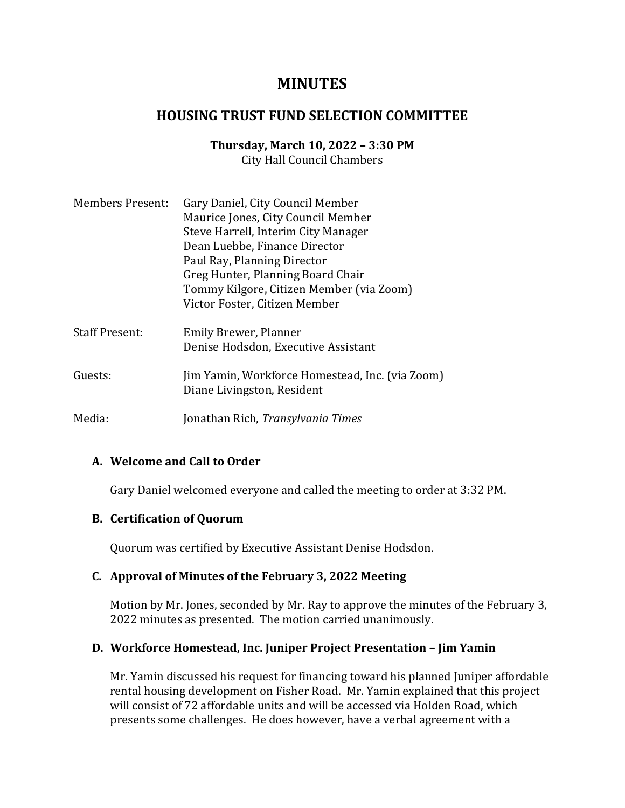# **MINUTES**

# **HOUSING TRUST FUND SELECTION COMMITTEE**

#### **Thursday, March 10, 2022 – 3:30 PM** City Hall Council Chambers

| <b>Members Present:</b> | Gary Daniel, City Council Member                                              |
|-------------------------|-------------------------------------------------------------------------------|
|                         | Maurice Jones, City Council Member                                            |
|                         | Steve Harrell, Interim City Manager                                           |
|                         | Dean Luebbe, Finance Director                                                 |
|                         | Paul Ray, Planning Director                                                   |
|                         | Greg Hunter, Planning Board Chair                                             |
|                         | Tommy Kilgore, Citizen Member (via Zoom)                                      |
|                         | Victor Foster, Citizen Member                                                 |
| <b>Staff Present:</b>   | Emily Brewer, Planner                                                         |
|                         | Denise Hodsdon, Executive Assistant                                           |
| Guests:                 | Jim Yamin, Workforce Homestead, Inc. (via Zoom)<br>Diane Livingston, Resident |
| Media:                  | Jonathan Rich, <i>Transylvania Times</i>                                      |

## **A. Welcome and Call to Order**

Gary Daniel welcomed everyone and called the meeting to order at 3:32 PM.

## **B. Certification of Quorum**

Quorum was certified by Executive Assistant Denise Hodsdon.

## **C. Approval of Minutes of the February 3, 2022 Meeting**

Motion by Mr. Jones, seconded by Mr. Ray to approve the minutes of the February 3, 2022 minutes as presented. The motion carried unanimously.

## **D. Workforce Homestead, Inc. Juniper Project Presentation – Jim Yamin**

Mr. Yamin discussed his request for financing toward his planned Juniper affordable rental housing development on Fisher Road. Mr. Yamin explained that this project will consist of 72 affordable units and will be accessed via Holden Road, which presents some challenges. He does however, have a verbal agreement with a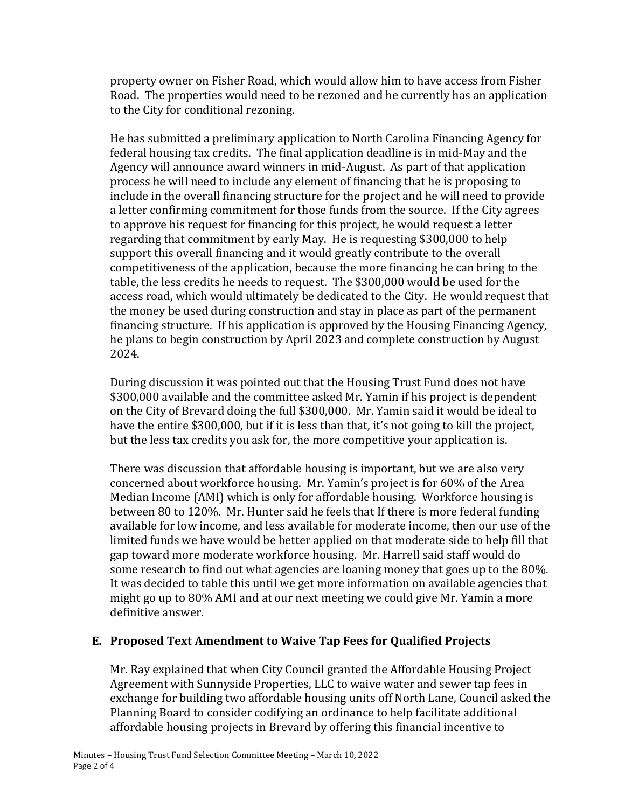property owner on Fisher Road, which would allow him to have access from Fisher Road. The properties would need to be rezoned and he currently has an application to the City for conditional rezoning.

He has submitted a preliminary application to North Carolina Financing Agency for federal housing tax credits. The final application deadline is in mid-May and the Agency will announce award winners in mid-August. As part of that application process he will need to include any element of financing that he is proposing to include in the overall financing structure for the project and he will need to provide a letter confirming commitment for those funds from the source. If the City agrees to approve his request for financing for this project, he would request a letter regarding that commitment by early May. He is requesting \$300,000 to help support this overall financing and it would greatly contribute to the overall competitiveness of the application, because the more financing he can bring to the table, the less credits he needs to request. The \$300,000 would be used for the access road, which would ultimately be dedicated to the City. He would request that the money be used during construction and stay in place as part of the permanent financing structure. If his application is approved by the Housing Financing Agency, he plans to begin construction by April 2023 and complete construction by August 2024.

During discussion it was pointed out that the Housing Trust Fund does not have \$300,000 available and the committee asked Mr. Yamin if his project is dependent on the City of Brevard doing the full \$300,000. Mr. Yamin said it would be ideal to have the entire \$300,000, but if it is less than that, it's not going to kill the project, but the less tax credits you ask for, the more competitive your application is.

There was discussion that affordable housing is important, but we are also very concerned about workforce housing. Mr. Yamin's project is for 60% of the Area Median Income (AMI) which is only for affordable housing. Workforce housing is between 80 to 120%. Mr. Hunter said he feels that If there is more federal funding available for low income, and less available for moderate income, then our use of the limited funds we have would be better applied on that moderate side to help fill that gap toward more moderate workforce housing. Mr. Harrell said staff would do some research to find out what agencies are loaning money that goes up to the 80%. It was decided to table this until we get more information on available agencies that might go up to 80% AMI and at our next meeting we could give Mr. Yamin a more definitive answer.

# **E. Proposed Text Amendment to Waive Tap Fees for Qualified Projects**

Mr. Ray explained that when City Council granted the Affordable Housing Project Agreement with Sunnyside Properties, LLC to waive water and sewer tap fees in exchange for building two affordable housing units off North Lane, Council asked the Planning Board to consider codifying an ordinance to help facilitate additional affordable housing projects in Brevard by offering this financial incentive to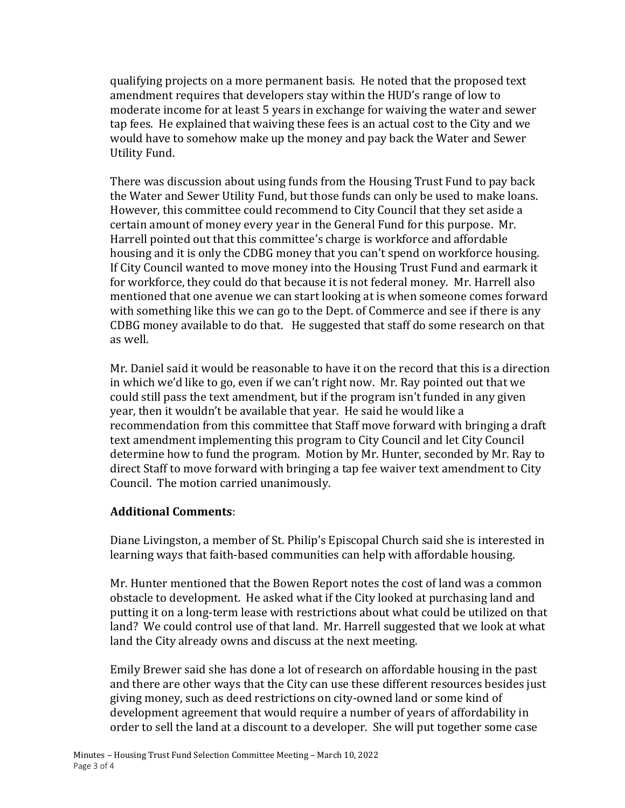qualifying projects on a more permanent basis. He noted that the proposed text amendment requires that developers stay within the HUD's range of low to moderate income for at least 5 years in exchange for waiving the water and sewer tap fees. He explained that waiving these fees is an actual cost to the City and we would have to somehow make up the money and pay back the Water and Sewer Utility Fund.

There was discussion about using funds from the Housing Trust Fund to pay back the Water and Sewer Utility Fund, but those funds can only be used to make loans. However, this committee could recommend to City Council that they set aside a certain amount of money every year in the General Fund for this purpose. Mr. Harrell pointed out that this committee's charge is workforce and affordable housing and it is only the CDBG money that you can't spend on workforce housing. If City Council wanted to move money into the Housing Trust Fund and earmark it for workforce, they could do that because it is not federal money. Mr. Harrell also mentioned that one avenue we can start looking at is when someone comes forward with something like this we can go to the Dept. of Commerce and see if there is any CDBG money available to do that. He suggested that staff do some research on that as well.

Mr. Daniel said it would be reasonable to have it on the record that this is a direction in which we'd like to go, even if we can't right now. Mr. Ray pointed out that we could still pass the text amendment, but if the program isn't funded in any given year, then it wouldn't be available that year. He said he would like a recommendation from this committee that Staff move forward with bringing a draft text amendment implementing this program to City Council and let City Council determine how to fund the program. Motion by Mr. Hunter, seconded by Mr. Ray to direct Staff to move forward with bringing a tap fee waiver text amendment to City Council. The motion carried unanimously.

# **Additional Comments**:

Diane Livingston, a member of St. Philip's Episcopal Church said she is interested in learning ways that faith-based communities can help with affordable housing.

Mr. Hunter mentioned that the Bowen Report notes the cost of land was a common obstacle to development. He asked what if the City looked at purchasing land and putting it on a long-term lease with restrictions about what could be utilized on that land? We could control use of that land. Mr. Harrell suggested that we look at what land the City already owns and discuss at the next meeting.

Emily Brewer said she has done a lot of research on affordable housing in the past and there are other ways that the City can use these different resources besides just giving money, such as deed restrictions on city-owned land or some kind of development agreement that would require a number of years of affordability in order to sell the land at a discount to a developer. She will put together some case